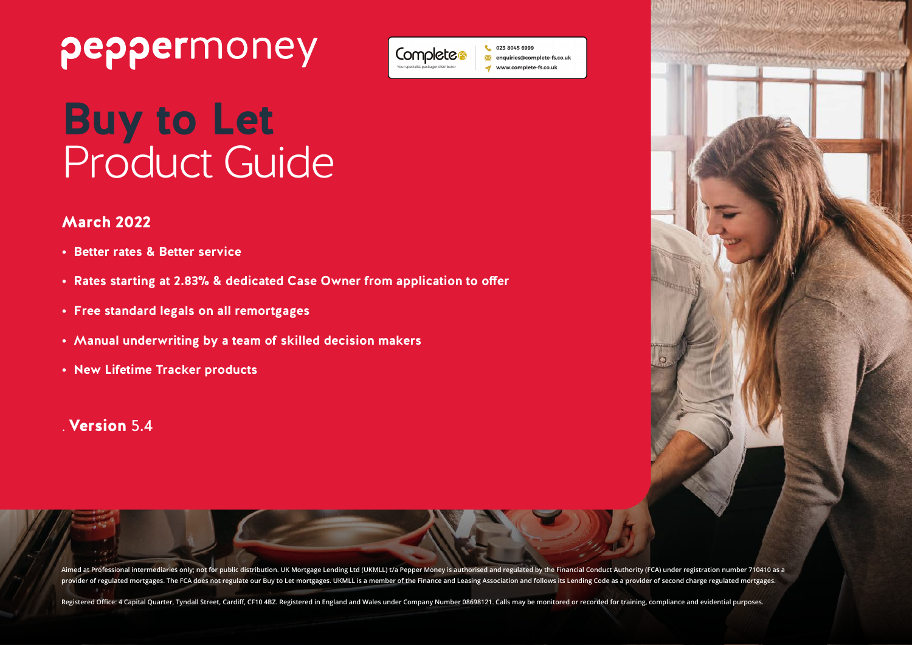# peppermoney



**L** 023 8045 6999 enquiries@complete-fs.co.uk www.complete-fs.co.uk

# **Buy to Let** Product Guide

### March 2022

- **• Better rates & Better service**
- **• Rates starting at 2.83% & dedicated Case Owner from application to offer**
- **• Free standard legals on all remortgages**
- **• Manual underwriting by a team of skilled decision makers**
- **• New Lifetime Tracker products**

### . Version 5.4

Aimed at Professional intermediaries only; not for public distribution. UK Mortgage Lending Ltd (UKMLL) t/a Pepper Money is authorised and regulated by the Financial Conduct Authority (FCA) under registration number 710410 provider of regulated mortgages. The FCA does not regulate our Buy to Let mortgages. UKMLL is a member of the Finance and Leasing Association and follows its Lending Code as a provider of second charge regulated mortgages.

Registered Office: 4 Capital Quarter, Tyndall Street, Cardiff, CF10 4BZ. Registered in England and Wales under Company Number 08698121. Calls may be monitored or recorded for training, compliance and evidential purposes.

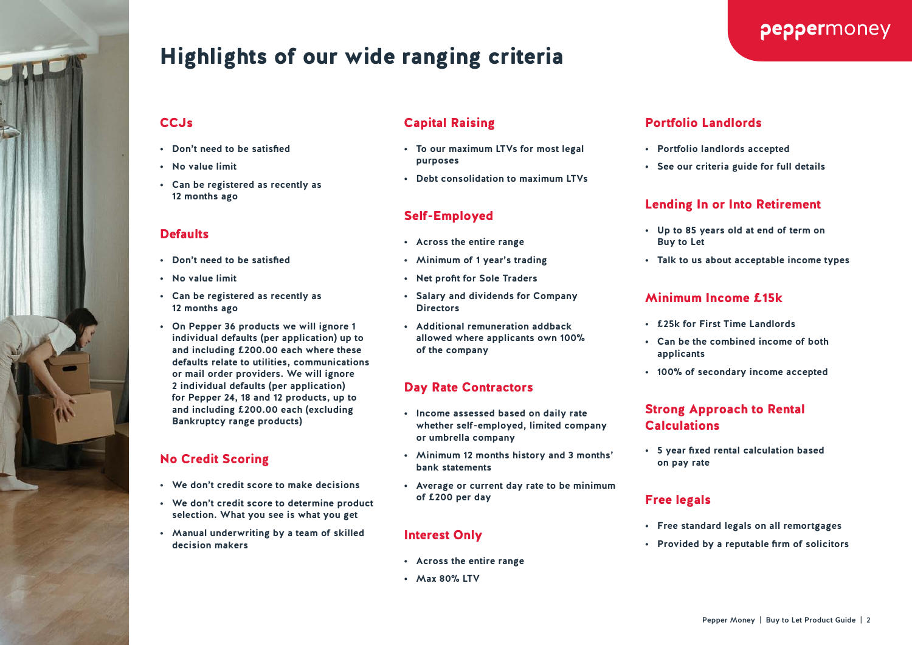

# Highlights of our wide ranging criteria

#### CC.<sub>Js</sub>

- **• Don't need to be satisfied**
- **• No value limit**
- **• Can be registered as recently as 12 months ago**

#### **Defaults**

- **• Don't need to be satisfied**
- **• No value limit**
- **• Can be registered as recently as 12 months ago**
- **• On Pepper 36 products we will ignore 1 individual defaults (per application) up to and including £200.00 each where these defaults relate to utilities, communications or mail order providers. We will ignore 2 individual defaults (per application) for Pepper 24, 18 and 12 products, up to and including £200.00 each (excluding Bankruptcy range products)**

### No Credit Scoring

- **• We don't credit score to make decisions**
- **• We don't credit score to determine product selection. What you see is what you get**
- **• Manual underwriting by a team of skilled decision makers**

### Capital Raising

- **• To our maximum LTVs for most legal purposes**
- **• Debt consolidation to maximum LTVs**

### Self-Employed

- **• Across the entire range**
- **• Minimum of 1 year's trading**
- **• Net profit for Sole Traders**
- **• Salary and dividends for Company Directors**
- **• Additional remuneration addback allowed where applicants own 100% of the company**

### Day Rate Contractors

- **• Income assessed based on daily rate whether self-employed, limited company or umbrella company**
- **• Minimum 12 months history and 3 months' bank statements**
- **• Average or current day rate to be minimum of £200 per day**

#### Interest Only

- **• Across the entire range**
- **• Max 80% LTV**

### Portfolio Landlords

- **• Portfolio landlords accepted**
- **• See our criteria guide for full details**

### Lending In or Into Retirement

- **• Up to 85 years old at end of term on Buy to Let**
- **• Talk to us about acceptable income types**

### Minimum Income £15k

- **• £25k for First Time Landlords**
- **• Can be the combined income of both applicants**
- **• 100% of secondary income accepted**

### Strong Approach to Rental Calculations

**• 5 year fixed rental calculation based on pay rate**

### Free legals

- **• Free standard legals on all remortgages**
- **• Provided by a reputable firm of solicitors**

### peppermoney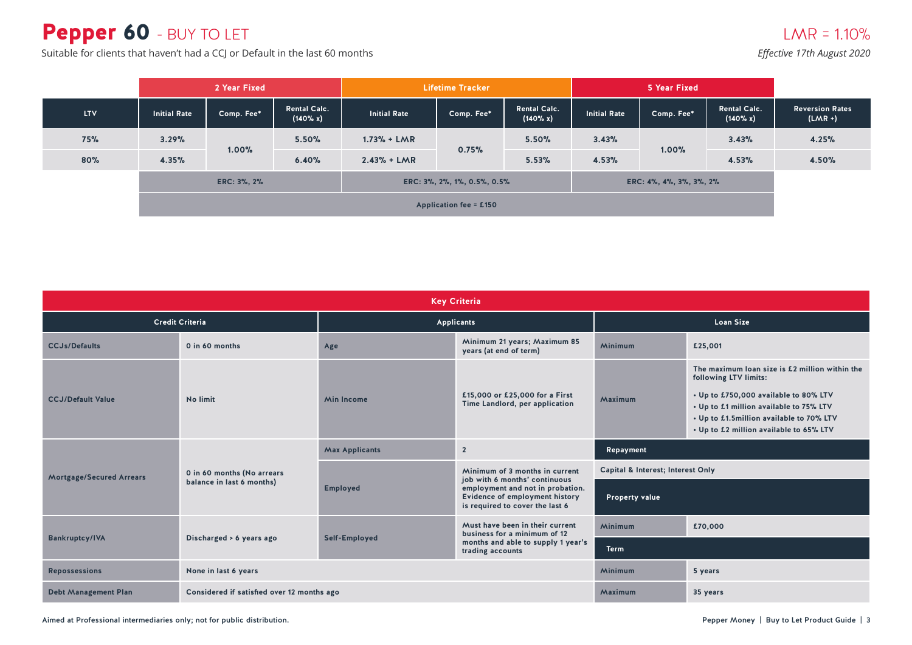# Pepper 60 - BUY TO LET

 $LMR = 1.10%$ 

*Effective 17th August 2020*

Suitable for clients that haven't had a CCJ or Default in the last 60 months

|            | 2 Year Fixed        |                                            | <b>Lifetime Tracker</b>         |                     |            | 5 Year Fixed                       |                         |            |                                 |                                     |
|------------|---------------------|--------------------------------------------|---------------------------------|---------------------|------------|------------------------------------|-------------------------|------------|---------------------------------|-------------------------------------|
| <b>LTV</b> | <b>Initial Rate</b> | Comp. Fee*                                 | <b>Rental Calc.</b><br>(140% x) | <b>Initial Rate</b> | Comp. Fee* | <b>Rental Calc.</b><br>$(140\% x)$ | <b>Initial Rate</b>     | Comp. Fee* | <b>Rental Calc.</b><br>(140% x) | <b>Reversion Rates</b><br>$(LMR +)$ |
| 75%        | 3.29%               | 1.00%                                      | 5.50%                           | $1.73% + LMR$       | 0.75%      | 5.50%                              | 3.43%                   | 1.00%      | 3.43%                           | 4.25%                               |
| 80%        | 4.35%               |                                            | 6.40%                           | $2.43% + LMR$       |            | 5.53%                              | 4.53%                   |            | 4.53%                           | 4.50%                               |
|            |                     | ERC: 3%, 2%<br>ERC: 3%, 2%, 1%, 0.5%, 0.5% |                                 |                     |            |                                    | ERC: 4%, 4%, 3%, 3%, 2% |            |                                 |                                     |
|            |                     | <b>Application fee = £150</b>              |                                 |                     |            |                                    |                         |            |                                 |                                     |

|                                                   | <b>Key Criteria</b>                        |                       |                                                                                                       |                                   |                                                                                                                                                                                                                                                    |  |  |  |  |  |  |
|---------------------------------------------------|--------------------------------------------|-----------------------|-------------------------------------------------------------------------------------------------------|-----------------------------------|----------------------------------------------------------------------------------------------------------------------------------------------------------------------------------------------------------------------------------------------------|--|--|--|--|--|--|
|                                                   | <b>Credit Criteria</b>                     |                       | Applicants                                                                                            | <b>Loan Size</b>                  |                                                                                                                                                                                                                                                    |  |  |  |  |  |  |
| <b>CCJs/Defaults</b>                              | 0 in 60 months                             | Age                   | Minimum 21 years; Maximum 85<br>years (at end of term)                                                | Minimum                           | £25,001                                                                                                                                                                                                                                            |  |  |  |  |  |  |
| <b>CCJ/Default Value</b>                          | No limit                                   | <b>Min Income</b>     | £15,000 or £25,000 for a First<br>Time Landlord, per application                                      | Maximum                           | The maximum loan size is £2 million within the<br>following LTV limits:<br>• Up to £750,000 available to 80% LTV<br>• Up to £1 million available to 75% LTV<br>• Up to £1.5million available to 70% LTV<br>• Up to £2 million available to 65% LTV |  |  |  |  |  |  |
|                                                   |                                            | <b>Max Applicants</b> | $\overline{2}$<br>Repayment                                                                           |                                   |                                                                                                                                                                                                                                                    |  |  |  |  |  |  |
| <b>Mortgage/Secured Arrears</b>                   | 0 in 60 months (No arrears                 |                       | Minimum of 3 months in current<br>job with 6 months' continuous                                       | Capital & Interest; Interest Only |                                                                                                                                                                                                                                                    |  |  |  |  |  |  |
|                                                   | balance in last 6 months)                  | <b>Employed</b>       | employment and not in probation.<br>Evidence of employment history<br>is required to cover the last 6 | Property value                    |                                                                                                                                                                                                                                                    |  |  |  |  |  |  |
|                                                   |                                            |                       | Must have been in their current<br>business for a minimum of 12                                       | Minimum                           | £70,000                                                                                                                                                                                                                                            |  |  |  |  |  |  |
| <b>Bankruptcy/IVA</b><br>Discharged > 6 years ago |                                            | Self-Employed         | months and able to supply 1 year's<br>trading accounts                                                | <b>Term</b>                       |                                                                                                                                                                                                                                                    |  |  |  |  |  |  |
| <b>Repossessions</b>                              | None in last 6 years                       |                       |                                                                                                       | Minimum                           | 5 years                                                                                                                                                                                                                                            |  |  |  |  |  |  |
| <b>Debt Management Plan</b>                       | Considered if satisfied over 12 months ago |                       |                                                                                                       | Maximum                           | 35 years                                                                                                                                                                                                                                           |  |  |  |  |  |  |

Aimed at Professional intermediaries only; not for public distribution. Notice that the state of the product Guide intermediaries only; not for public distribution.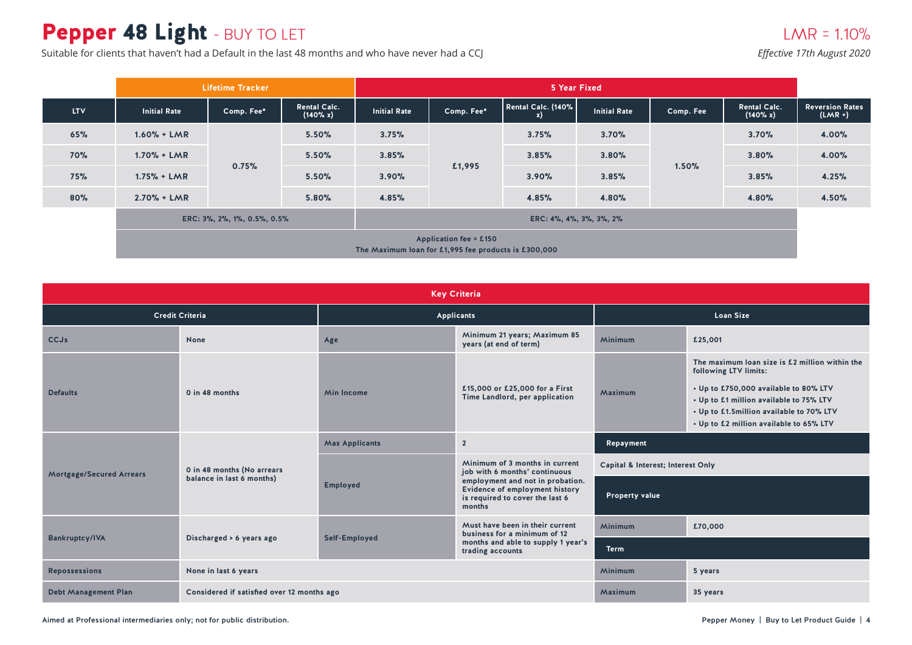# Pepper 48 Light - BUY TO LET

Suitable for clients that haven't had a Default in the last 48 months and who have never had a CCJ

### $LMR = 1.10%$

*Effective 17th August 2020*

|            | <b>Lifetime Tracker</b>                                                               |            |                                 | 5 Year Fixed        |            |                    |                     |           |                                 |                                     |
|------------|---------------------------------------------------------------------------------------|------------|---------------------------------|---------------------|------------|--------------------|---------------------|-----------|---------------------------------|-------------------------------------|
| <b>LTV</b> | <b>Initial Rate</b>                                                                   | Comp. Fee* | <b>Rental Calc.</b><br>(140% x) | <b>Initial Rate</b> | Comp. Fee* | Rental Calc. (140% | <b>Initial Rate</b> | Comp. Fee | <b>Rental Calc.</b><br>(140% x) | <b>Reversion Rates</b><br>$(LMR +)$ |
| 65%        | $1.60% + LMR$                                                                         |            | 5.50%                           | 3.75%               | £1,995     | 3.75%              | 3.70%               |           | 3.70%                           | 4.00%                               |
| 70%        | $1.70% + LMR$                                                                         | 0.75%      | 5.50%                           | 3.85%               |            | 3.85%              | 3.80%               | 1.50%     | 3.80%                           | 4.00%                               |
| <b>75%</b> | $1.75% + LMR$                                                                         |            | 5.50%                           | 3.90%               |            | 3.90%              | 3.85%               |           | 3.85%                           | 4.25%                               |
| 80%        | $2.70% + LMR$                                                                         |            | 5.80%                           | 4.85%               |            | 4.85%              | 4.80%               |           | 4.80%                           | 4.50%                               |
|            | ERC: 3%, 2%, 1%, 0.5%, 0.5%<br>ERC: 4%, 4%, 3%, 3%, 2%                                |            |                                 |                     |            |                    |                     |           |                                 |                                     |
|            | <b>Application fee = £150</b><br>The Maximum loan for £1,995 fee products is £300,000 |            |                                 |                     |            |                    |                     |           |                                 |                                     |

|                                                   |                                            |                                         | <b>Key Criteria</b>                                                                                             |                                   |                                                                                                                                                                                                                                                    |  |
|---------------------------------------------------|--------------------------------------------|-----------------------------------------|-----------------------------------------------------------------------------------------------------------------|-----------------------------------|----------------------------------------------------------------------------------------------------------------------------------------------------------------------------------------------------------------------------------------------------|--|
|                                                   | <b>Credit Criteria</b>                     |                                         | Applicants                                                                                                      | <b>Loan Size</b>                  |                                                                                                                                                                                                                                                    |  |
| <b>CCJs</b>                                       | None                                       | Age                                     | Minimum 21 years; Maximum 85<br>years (at end of term)                                                          | Minimum                           | £25,001                                                                                                                                                                                                                                            |  |
| <b>Defaults</b>                                   | 0 in 48 months                             | <b>Min Income</b>                       | £15,000 or £25,000 for a First<br>Time Landlord, per application                                                | Maximum                           | The maximum loan size is £2 million within the<br>following LTV limits:<br>• Up to £750,000 available to 80% LTV<br>• Up to £1 million available to 75% LTV<br>• Up to £1.5million available to 70% LTV<br>• Up to £2 million available to 65% LTV |  |
|                                                   |                                            | <b>Max Applicants</b><br>$\overline{2}$ |                                                                                                                 | Repayment                         |                                                                                                                                                                                                                                                    |  |
| <b>Mortgage/Secured Arrears</b>                   | 0 in 48 months (No arrears                 |                                         | Minimum of 3 months in current<br>job with 6 months' continuous                                                 | Capital & Interest; Interest Only |                                                                                                                                                                                                                                                    |  |
|                                                   | balance in last 6 months)                  | <b>Employed</b>                         | employment and not in probation.<br>Evidence of employment history<br>is required to cover the last 6<br>months | <b>Property value</b>             |                                                                                                                                                                                                                                                    |  |
|                                                   |                                            |                                         | Must have been in their current<br>business for a minimum of 12                                                 | <b>Minimum</b>                    | £70,000                                                                                                                                                                                                                                            |  |
| <b>Bankruptcy/IVA</b><br>Discharged > 6 years ago |                                            | Self-Employed                           | months and able to supply 1 year's<br>trading accounts                                                          | <b>Term</b>                       |                                                                                                                                                                                                                                                    |  |
| <b>Repossessions</b>                              | None in last 6 years                       |                                         |                                                                                                                 | <b>Minimum</b>                    | 5 years                                                                                                                                                                                                                                            |  |
| <b>Debt Management Plan</b>                       | Considered if satisfied over 12 months ago |                                         |                                                                                                                 | Maximum<br>35 years               |                                                                                                                                                                                                                                                    |  |

Aimed at Professional intermediaries only; not for public distribution. Notice that the state of the state of the state of the state of the state of the state of the state of the state of the state of the state of the stat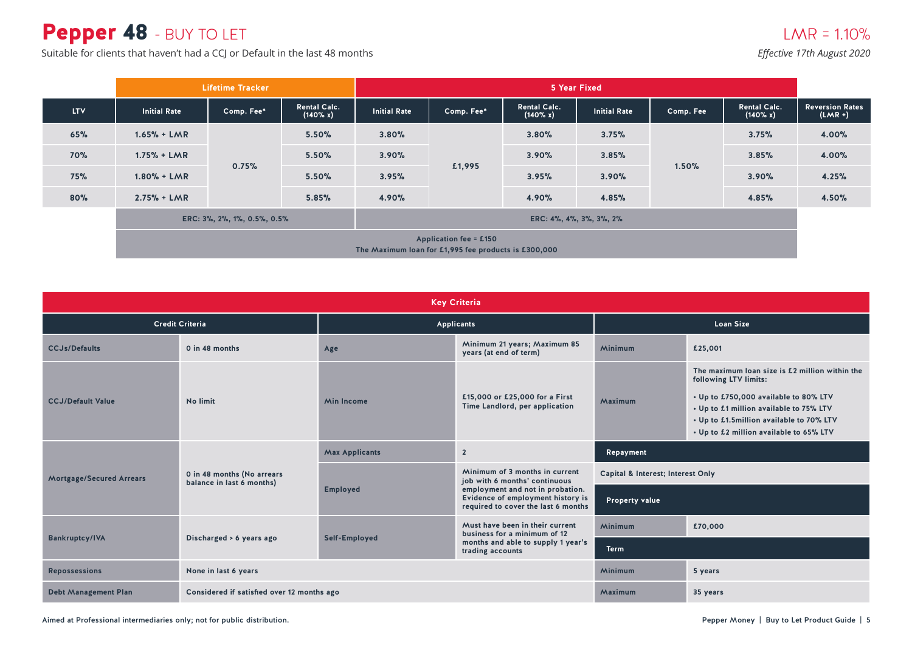# Pepper 48 - BUY TO LET

Suitable for clients that haven't had a CCJ or Default in the last 48 months

*Effective 17th August 2020*

|            |                                                                                       | <b>Lifetime Tracker</b>     |                                    |                         | 5 Year Fixed |                                 |                     |           |                                 |                                     |
|------------|---------------------------------------------------------------------------------------|-----------------------------|------------------------------------|-------------------------|--------------|---------------------------------|---------------------|-----------|---------------------------------|-------------------------------------|
| <b>LTV</b> | <b>Initial Rate</b>                                                                   | Comp. Fee*                  | <b>Rental Calc.</b><br>$(140\% x)$ | <b>Initial Rate</b>     | Comp. Fee*   | <b>Rental Calc.</b><br>(140% x) | <b>Initial Rate</b> | Comp. Fee | <b>Rental Calc.</b><br>(140% x) | <b>Reversion Rates</b><br>$(LMR +)$ |
| 65%        | $1.65% + LMR$                                                                         |                             | 5.50%                              | 3.80%                   | £1,995       | 3.80%                           | 3.75%               |           | 3.75%                           | 4.00%                               |
| 70%        | $1.75% + LMR$                                                                         | 0.75%                       | 5.50%                              | 3.90%                   |              | 3.90%                           | 3.85%               | 1.50%     | 3.85%                           | 4.00%                               |
| 75%        | $1.80% + LMR$                                                                         |                             | 5.50%                              | 3.95%                   |              | 3.95%                           | 3.90%               |           | 3.90%                           | 4.25%                               |
| 80%        | $2.75% + LMR$                                                                         |                             | 5.85%                              | 4.90%                   |              | 4.90%                           | 4.85%               |           | 4.85%                           | 4.50%                               |
|            |                                                                                       | ERC: 3%, 2%, 1%, 0.5%, 0.5% |                                    | ERC: 4%, 4%, 3%, 3%, 2% |              |                                 |                     |           |                                 |                                     |
|            | <b>Application fee = £150</b><br>The Maximum loan for £1,995 fee products is £300,000 |                             |                                    |                         |              |                                 |                     |           |                                 |                                     |

|                                                   |                                                         |                                                                                       | <b>Key Criteria</b>                                                                                          |                                   |                                                                                                                                                                                                                                                    |  |
|---------------------------------------------------|---------------------------------------------------------|---------------------------------------------------------------------------------------|--------------------------------------------------------------------------------------------------------------|-----------------------------------|----------------------------------------------------------------------------------------------------------------------------------------------------------------------------------------------------------------------------------------------------|--|
|                                                   | <b>Credit Criteria</b>                                  |                                                                                       | <b>Applicants</b>                                                                                            | <b>Loan Size</b>                  |                                                                                                                                                                                                                                                    |  |
| <b>CCJs/Defaults</b>                              | 0 in 48 months                                          | Age                                                                                   | Minimum 21 years; Maximum 85<br>years (at end of term)                                                       | Minimum                           | £25,001                                                                                                                                                                                                                                            |  |
| <b>CCJ/Default Value</b>                          | No limit                                                | £15,000 or £25,000 for a First<br><b>Min Income</b><br>Time Landlord, per application |                                                                                                              | Maximum                           | The maximum loan size is £2 million within the<br>following LTV limits:<br>• Up to £750,000 available to 80% LTV<br>• Up to £1 million available to 75% LTV<br>• Up to £1.5million available to 70% LTV<br>• Up to £2 million available to 65% LTV |  |
|                                                   |                                                         | <b>Max Applicants</b><br>$\overline{2}$                                               |                                                                                                              | Repayment                         |                                                                                                                                                                                                                                                    |  |
| <b>Mortgage/Secured Arrears</b>                   | 0 in 48 months (No arrears<br>balance in last 6 months) |                                                                                       | Minimum of 3 months in current<br>job with 6 months' continuous                                              | Capital & Interest; Interest Only |                                                                                                                                                                                                                                                    |  |
|                                                   |                                                         | Employed                                                                              | employment and not in probation.<br>Evidence of employment history is<br>required to cover the last 6 months | <b>Property value</b>             |                                                                                                                                                                                                                                                    |  |
|                                                   |                                                         |                                                                                       | Must have been in their current<br>business for a minimum of 12                                              | <b>Minimum</b>                    | £70,000                                                                                                                                                                                                                                            |  |
| <b>Bankruptcy/IVA</b><br>Discharged > 6 years ago |                                                         | Self-Employed                                                                         | months and able to supply 1 year's<br>trading accounts                                                       | <b>Term</b>                       |                                                                                                                                                                                                                                                    |  |
| <b>Repossessions</b>                              | None in last 6 years                                    |                                                                                       |                                                                                                              | <b>Minimum</b>                    | 5 years                                                                                                                                                                                                                                            |  |
| <b>Debt Management Plan</b>                       | Considered if satisfied over 12 months ago              |                                                                                       |                                                                                                              | Maximum                           | 35 years                                                                                                                                                                                                                                           |  |

Aimed at Professional intermediaries only; not for public distribution. Notice that the state of the product Guide intermediaries only; not for public distribution.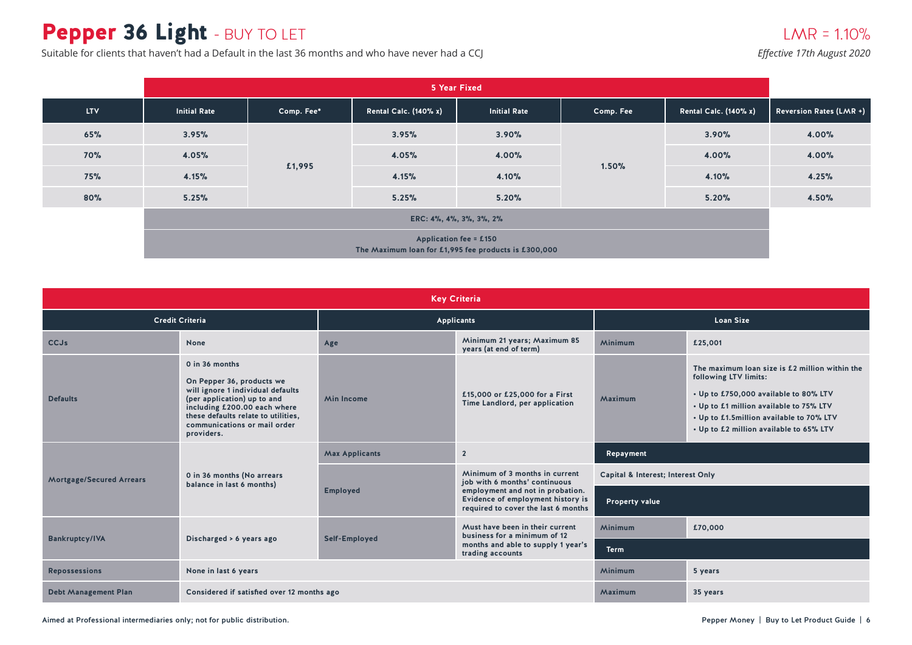# Pepper 36 Light - BUY TO LET

Suitable for clients that haven't had a Default in the last 36 months and who have never had a CCJ

### $LMR = 1.10%$

*Effective 17th August 2020*

|            |                                                                                       | 5 Year Fixed |                              |                     |           |                              |                                |  |  |  |  |
|------------|---------------------------------------------------------------------------------------|--------------|------------------------------|---------------------|-----------|------------------------------|--------------------------------|--|--|--|--|
| <b>LTV</b> | <b>Initial Rate</b>                                                                   | Comp. Fee*   | <b>Rental Calc. (140% x)</b> | <b>Initial Rate</b> | Comp. Fee | <b>Rental Calc. (140% x)</b> | <b>Reversion Rates (LMR +)</b> |  |  |  |  |
| 65%        | 3.95%                                                                                 |              | 3.95%                        | 3.90%               | 1.50%     | 3.90%                        | 4.00%                          |  |  |  |  |
| 70%        | 4.05%                                                                                 |              | 4.05%                        | 4.00%               |           | 4.00%                        | 4.00%                          |  |  |  |  |
| 75%        | 4.15%                                                                                 | £1,995       | 4.15%                        | 4.10%               |           | 4.10%                        | 4.25%                          |  |  |  |  |
| 80%        | 5.25%                                                                                 |              | 5.25%                        | 5.20%               |           | 5.20%                        | 4.50%                          |  |  |  |  |
|            | ERC: 4%, 4%, 3%, 3%, 2%                                                               |              |                              |                     |           |                              |                                |  |  |  |  |
|            | <b>Application fee = £150</b><br>The Maximum loan for £1,995 fee products is £300,000 |              |                              |                     |           |                              |                                |  |  |  |  |

|                                                   |                                                                                                                                                                                                                                      |                                                                                       | <b>Key Criteria</b>                                                                                          |                                   |                                                                                                                                                                                                                                                    |  |
|---------------------------------------------------|--------------------------------------------------------------------------------------------------------------------------------------------------------------------------------------------------------------------------------------|---------------------------------------------------------------------------------------|--------------------------------------------------------------------------------------------------------------|-----------------------------------|----------------------------------------------------------------------------------------------------------------------------------------------------------------------------------------------------------------------------------------------------|--|
|                                                   | <b>Credit Criteria</b>                                                                                                                                                                                                               |                                                                                       | <b>Applicants</b>                                                                                            | <b>Loan Size</b>                  |                                                                                                                                                                                                                                                    |  |
| <b>CCJs</b>                                       | <b>None</b>                                                                                                                                                                                                                          | Age                                                                                   | Minimum 21 years; Maximum 85<br>years (at end of term)                                                       | <b>Minimum</b>                    | £25,001                                                                                                                                                                                                                                            |  |
| <b>Defaults</b>                                   | 0 in 36 months<br>On Pepper 36, products we<br>will ignore 1 individual defaults<br>(per application) up to and<br>including £200.00 each where<br>these defaults relate to utilities,<br>communications or mail order<br>providers. | £15,000 or £25,000 for a First<br><b>Min Income</b><br>Time Landlord, per application |                                                                                                              | Maximum                           | The maximum loan size is £2 million within the<br>following LTV limits:<br>• Up to £750,000 available to 80% LTV<br>• Up to £1 million available to 75% LTV<br>• Up to £1.5million available to 70% LTV<br>• Up to £2 million available to 65% LTV |  |
|                                                   |                                                                                                                                                                                                                                      | <b>Max Applicants</b><br>$\overline{2}$                                               |                                                                                                              | Repayment                         |                                                                                                                                                                                                                                                    |  |
| <b>Mortgage/Secured Arrears</b>                   | 0 in 36 months (No arrears<br>balance in last 6 months)                                                                                                                                                                              |                                                                                       | Minimum of 3 months in current<br>job with 6 months' continuous                                              | Capital & Interest; Interest Only |                                                                                                                                                                                                                                                    |  |
|                                                   |                                                                                                                                                                                                                                      | <b>Employed</b>                                                                       | employment and not in probation.<br>Evidence of employment history is<br>required to cover the last 6 months | <b>Property value</b>             |                                                                                                                                                                                                                                                    |  |
|                                                   |                                                                                                                                                                                                                                      |                                                                                       | Must have been in their current<br>business for a minimum of 12                                              | <b>Minimum</b>                    | £70,000                                                                                                                                                                                                                                            |  |
| <b>Bankruptcy/IVA</b><br>Discharged > 6 years ago |                                                                                                                                                                                                                                      | Self-Employed                                                                         | months and able to supply 1 year's<br>trading accounts                                                       | <b>Term</b>                       |                                                                                                                                                                                                                                                    |  |
| <b>Repossessions</b>                              | None in last 6 years                                                                                                                                                                                                                 |                                                                                       |                                                                                                              | <b>Minimum</b>                    | 5 years                                                                                                                                                                                                                                            |  |
| <b>Debt Management Plan</b>                       | Considered if satisfied over 12 months ago                                                                                                                                                                                           |                                                                                       |                                                                                                              | Maximum                           | 35 years                                                                                                                                                                                                                                           |  |

Aimed at Professional intermediaries only; not for public distribution. Notice that the state of the product Guide intermediaries only; not for public distribution.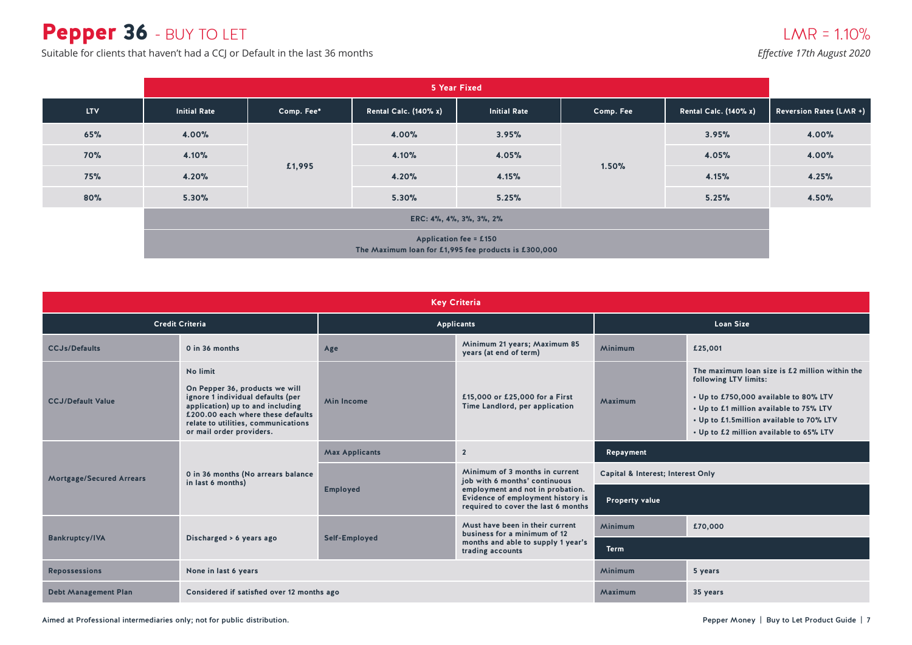# Pepper 36 - BUY TO LET

Suitable for clients that haven't had a CCJ or Default in the last 36 months

|            | 5 Year Fixed                                                                          |            |                              |                     |           |                              |                                |  |  |  |
|------------|---------------------------------------------------------------------------------------|------------|------------------------------|---------------------|-----------|------------------------------|--------------------------------|--|--|--|
| <b>LTV</b> | <b>Initial Rate</b>                                                                   | Comp. Fee* | <b>Rental Calc. (140% x)</b> | <b>Initial Rate</b> | Comp. Fee | <b>Rental Calc. (140% x)</b> | <b>Reversion Rates (LMR +)</b> |  |  |  |
| 65%        | 4.00%                                                                                 |            | 4.00%                        | 3.95%               | 1.50%     | 3.95%                        | 4.00%                          |  |  |  |
| <b>70%</b> | 4.10%                                                                                 |            | 4.10%                        | 4.05%               |           | 4.05%                        | 4.00%                          |  |  |  |
| <b>75%</b> | 4.20%                                                                                 | £1,995     | 4.20%                        | 4.15%               |           | 4.15%                        | 4.25%                          |  |  |  |
| 80%        | 5.30%                                                                                 |            | 5.30%                        | 5.25%               |           | 5.25%                        | 4.50%                          |  |  |  |
|            | ERC: 4%, 4%, 3%, 3%, 2%                                                               |            |                              |                     |           |                              |                                |  |  |  |
|            | <b>Application fee = £150</b><br>The Maximum loan for £1,995 fee products is £300,000 |            |                              |                     |           |                              |                                |  |  |  |

|                                                   |                                                                                                                                                                                                                             |                                         | <b>Key Criteria</b>                                                                                          |                                   |                                                                                                                                                                                                                                                    |  |
|---------------------------------------------------|-----------------------------------------------------------------------------------------------------------------------------------------------------------------------------------------------------------------------------|-----------------------------------------|--------------------------------------------------------------------------------------------------------------|-----------------------------------|----------------------------------------------------------------------------------------------------------------------------------------------------------------------------------------------------------------------------------------------------|--|
|                                                   | <b>Credit Criteria</b>                                                                                                                                                                                                      |                                         | Applicants                                                                                                   | <b>Loan Size</b>                  |                                                                                                                                                                                                                                                    |  |
| <b>CCJs/Defaults</b>                              | 0 in 36 months                                                                                                                                                                                                              | Age                                     | Minimum 21 years; Maximum 85<br>years (at end of term)                                                       | Minimum                           | £25,001                                                                                                                                                                                                                                            |  |
| <b>CCJ/Default Value</b>                          | No limit<br>On Pepper 36, products we will<br>ignore 1 individual defaults (per<br>application) up to and including<br>£200.00 each where these defaults<br>relate to utilities, communications<br>or mail order providers. | <b>Min Income</b>                       | £15,000 or £25,000 for a First<br>Time Landlord, per application                                             | Maximum                           | The maximum loan size is £2 million within the<br>following LTV limits:<br>• Up to £750,000 available to 80% LTV<br>• Up to £1 million available to 75% LTV<br>• Up to £1.5million available to 70% LTV<br>• Up to £2 million available to 65% LTV |  |
|                                                   |                                                                                                                                                                                                                             | <b>Max Applicants</b><br>$\overline{2}$ |                                                                                                              | Repayment                         |                                                                                                                                                                                                                                                    |  |
| <b>Mortgage/Secured Arrears</b>                   | 0 in 36 months (No arrears balance<br>in last 6 months)                                                                                                                                                                     |                                         | Minimum of 3 months in current<br>job with 6 months' continuous                                              | Capital & Interest; Interest Only |                                                                                                                                                                                                                                                    |  |
|                                                   |                                                                                                                                                                                                                             | <b>Employed</b>                         | employment and not in probation.<br>Evidence of employment history is<br>required to cover the last 6 months | <b>Property value</b>             |                                                                                                                                                                                                                                                    |  |
|                                                   |                                                                                                                                                                                                                             |                                         | Must have been in their current<br>business for a minimum of 12                                              | <b>Minimum</b>                    | £70,000                                                                                                                                                                                                                                            |  |
| <b>Bankruptcy/IVA</b><br>Discharged > 6 years ago |                                                                                                                                                                                                                             | Self-Employed                           | months and able to supply 1 year's<br>trading accounts                                                       | <b>Term</b>                       |                                                                                                                                                                                                                                                    |  |
| <b>Repossessions</b>                              | None in last 6 years                                                                                                                                                                                                        |                                         |                                                                                                              | Minimum                           | 5 years                                                                                                                                                                                                                                            |  |
| <b>Debt Management Plan</b>                       | Considered if satisfied over 12 months ago                                                                                                                                                                                  |                                         |                                                                                                              | Maximum                           | 35 years                                                                                                                                                                                                                                           |  |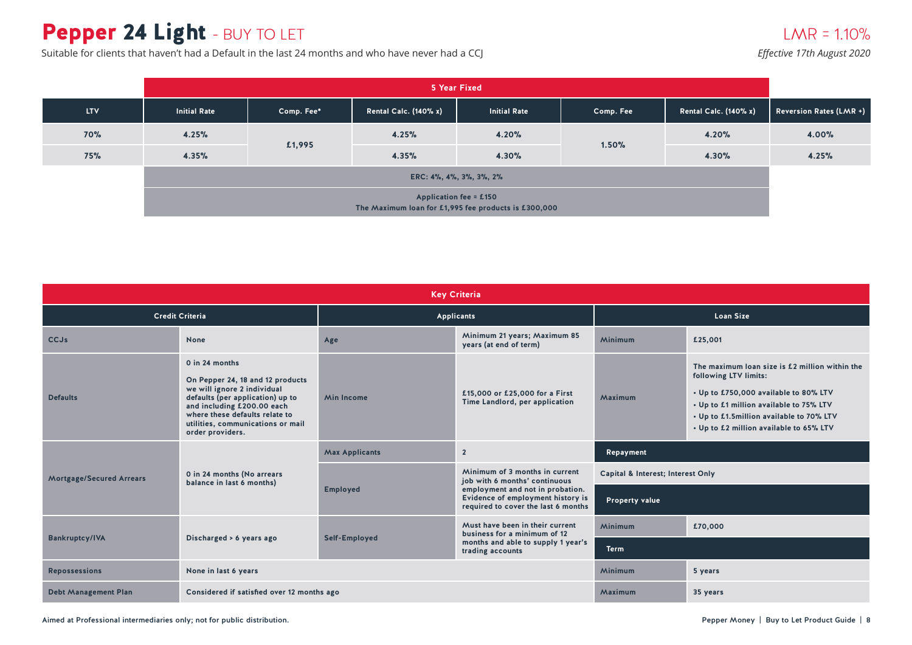# Pepper 24 Light - BUY TO LET

Suitable for clients that haven't had a Default in the last 24 months and who have never had a CCJ

### $LMR = 1.10%$

|            | 5 Year Fixed                                                                          |                         |                              |                     |           |                              |                                |  |  |  |
|------------|---------------------------------------------------------------------------------------|-------------------------|------------------------------|---------------------|-----------|------------------------------|--------------------------------|--|--|--|
| <b>LTV</b> | <b>Initial Rate</b>                                                                   | Comp. Fee*              | <b>Rental Calc. (140% x)</b> | <b>Initial Rate</b> | Comp. Fee | <b>Rental Calc. (140% x)</b> | <b>Reversion Rates (LMR +)</b> |  |  |  |
| 70%        | 4.25%                                                                                 |                         | 4.25%                        | 4.20%               |           | 4.20%                        | 4.00%                          |  |  |  |
| 75%        | 4.35%                                                                                 | £1,995                  | 4.35%                        | 4.30%               | 1.50%     | 4.30%                        | 4.25%                          |  |  |  |
|            |                                                                                       | ERC: 4%, 4%, 3%, 3%, 2% |                              |                     |           |                              |                                |  |  |  |
|            | <b>Application fee = £150</b><br>The Maximum loan for £1,995 fee products is £300,000 |                         |                              |                     |           |                              |                                |  |  |  |

| <b>Key Criteria</b>                               |                                                                                                                                                                                                                                                |                                         |                                                                                                              |                                   |                                                                                                                                                                                                                                                    |  |  |  |  |
|---------------------------------------------------|------------------------------------------------------------------------------------------------------------------------------------------------------------------------------------------------------------------------------------------------|-----------------------------------------|--------------------------------------------------------------------------------------------------------------|-----------------------------------|----------------------------------------------------------------------------------------------------------------------------------------------------------------------------------------------------------------------------------------------------|--|--|--|--|
|                                                   | <b>Credit Criteria</b>                                                                                                                                                                                                                         |                                         | <b>Applicants</b>                                                                                            | <b>Loan Size</b>                  |                                                                                                                                                                                                                                                    |  |  |  |  |
| <b>CCJs</b>                                       | None                                                                                                                                                                                                                                           | Age                                     | Minimum 21 years; Maximum 85<br>years (at end of term)                                                       | Minimum                           | £25,001                                                                                                                                                                                                                                            |  |  |  |  |
| <b>Defaults</b>                                   | 0 in 24 months<br>On Pepper 24, 18 and 12 products<br>we will ignore 2 individual<br>defaults (per application) up to<br>and including £200.00 each<br>where these defaults relate to<br>utilities, communications or mail<br>order providers. | <b>Min Income</b>                       | £15,000 or £25,000 for a First<br>Time Landlord, per application                                             | Maximum                           | The maximum loan size is £2 million within the<br>following LTV limits:<br>• Up to £750,000 available to 80% LTV<br>• Up to £1 million available to 75% LTV<br>• Up to £1.5million available to 70% LTV<br>• Up to £2 million available to 65% LTV |  |  |  |  |
|                                                   |                                                                                                                                                                                                                                                | <b>Max Applicants</b><br>$\overline{2}$ |                                                                                                              | Repayment                         |                                                                                                                                                                                                                                                    |  |  |  |  |
| <b>Mortgage/Secured Arrears</b>                   | 0 in 24 months (No arrears<br>balance in last 6 months)                                                                                                                                                                                        |                                         | Minimum of 3 months in current<br>job with 6 months' continuous                                              | Capital & Interest; Interest Only |                                                                                                                                                                                                                                                    |  |  |  |  |
|                                                   |                                                                                                                                                                                                                                                | <b>Employed</b>                         | employment and not in probation.<br>Evidence of employment history is<br>required to cover the last 6 months | <b>Property value</b>             |                                                                                                                                                                                                                                                    |  |  |  |  |
|                                                   |                                                                                                                                                                                                                                                |                                         | Must have been in their current<br>business for a minimum of 12                                              | Minimum                           | £70,000                                                                                                                                                                                                                                            |  |  |  |  |
| <b>Bankruptcy/IVA</b><br>Discharged > 6 years ago |                                                                                                                                                                                                                                                | Self-Employed                           | months and able to supply 1 year's<br>trading accounts                                                       | <b>Term</b>                       |                                                                                                                                                                                                                                                    |  |  |  |  |
| <b>Repossessions</b>                              | None in last 6 years                                                                                                                                                                                                                           |                                         |                                                                                                              | Minimum                           | 5 years                                                                                                                                                                                                                                            |  |  |  |  |
| <b>Debt Management Plan</b>                       | Considered if satisfied over 12 months ago                                                                                                                                                                                                     |                                         |                                                                                                              | Maximum                           | 35 years                                                                                                                                                                                                                                           |  |  |  |  |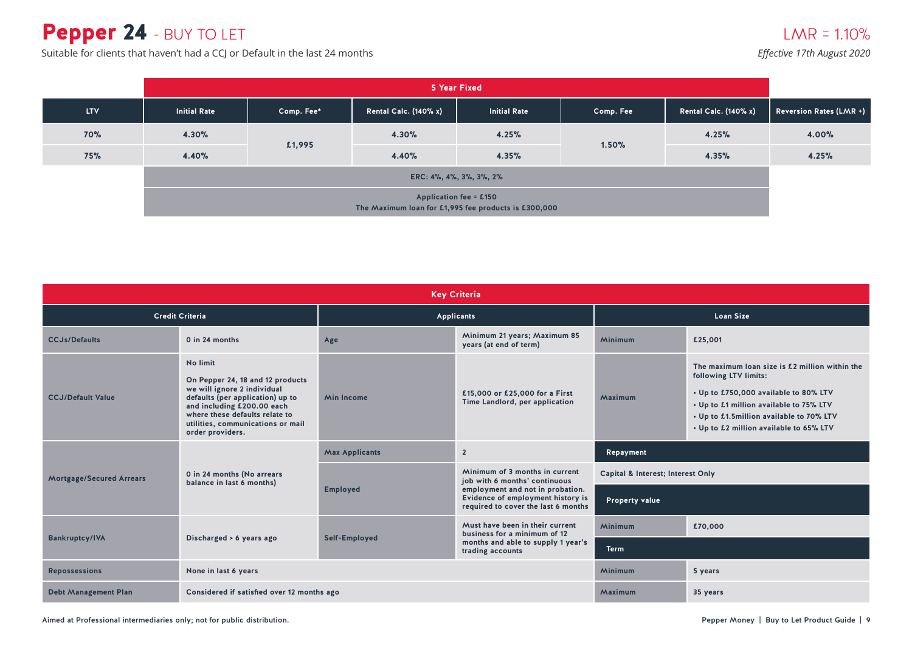# Pepper 24 - BUY TO LET

Suitable for clients that haven't had a CCJ or Default in the last 24 months

|                                                                                | 5 Year Fixed |            |                              |                     |           |                              |                                |  |  |
|--------------------------------------------------------------------------------|--------------|------------|------------------------------|---------------------|-----------|------------------------------|--------------------------------|--|--|
| <b>LTV</b>                                                                     | Initial Rate | Comp. Fee* | <b>Rental Calc. (140% x)</b> | <b>Initial Rate</b> | Comp. Fee | <b>Rental Calc. (140% x)</b> | <b>Reversion Rates (LMR +)</b> |  |  |
| 70%                                                                            | 4.30%        |            | 4.30%                        | 4.25%               |           | 4.25%                        | 4.00%                          |  |  |
| <b>75%</b>                                                                     | 4.40%        | £1,995     | 4.40%                        | 4.35%               | 1.50%     | 4.35%                        | 4.25%                          |  |  |
| ERC: 4%, 4%, 3%, 3%, 2%                                                        |              |            |                              |                     |           |                              |                                |  |  |
| Application fee = £150<br>The Maximum loan for £1,995 fee products is £300,000 |              |            |                              |                     |           |                              |                                |  |  |

| <b>Key Criteria</b>             |                                                                                                                                                                                                                                          |                       |                                                                                                              |                                   |                                                                                                                                                                                                                                                    |  |  |
|---------------------------------|------------------------------------------------------------------------------------------------------------------------------------------------------------------------------------------------------------------------------------------|-----------------------|--------------------------------------------------------------------------------------------------------------|-----------------------------------|----------------------------------------------------------------------------------------------------------------------------------------------------------------------------------------------------------------------------------------------------|--|--|
|                                 | <b>Credit Criteria</b>                                                                                                                                                                                                                   | <b>Applicants</b>     |                                                                                                              | <b>Loan Size</b>                  |                                                                                                                                                                                                                                                    |  |  |
| <b>CCJs/Defaults</b>            | 0 in 24 months                                                                                                                                                                                                                           | Age                   | Minimum 21 years; Maximum 85<br>years (at end of term)                                                       | Minimum                           | £25,001                                                                                                                                                                                                                                            |  |  |
| <b>CCJ/Default Value</b>        | No limit<br>On Pepper 24, 18 and 12 products<br>we will ignore 2 individual<br>defaults (per application) up to<br>and including £200.00 each<br>where these defaults relate to<br>utilities, communications or mail<br>order providers. | <b>Min Income</b>     | £15,000 or £25,000 for a First<br>Time Landlord, per application                                             | Maximum                           | The maximum loan size is £2 million within the<br>following LTV limits:<br>• Up to £750,000 available to 80% LTV<br>• Up to £1 million available to 75% LTV<br>• Up to £1.5million available to 70% LTV<br>• Up to £2 million available to 65% LTV |  |  |
|                                 |                                                                                                                                                                                                                                          | <b>Max Applicants</b> | $\overline{2}$                                                                                               | Repayment                         |                                                                                                                                                                                                                                                    |  |  |
| <b>Mortgage/Secured Arrears</b> | 0 in 24 months (No arrears<br>balance in last 6 months)                                                                                                                                                                                  | <b>Employed</b>       | Minimum of 3 months in current<br>job with 6 months' continuous                                              | Capital & Interest; Interest Only |                                                                                                                                                                                                                                                    |  |  |
|                                 |                                                                                                                                                                                                                                          |                       | employment and not in probation.<br>Evidence of employment history is<br>required to cover the last 6 months | <b>Property value</b>             |                                                                                                                                                                                                                                                    |  |  |
|                                 |                                                                                                                                                                                                                                          |                       | Must have been in their current<br>business for a minimum of 12                                              | Minimum                           | £70,000                                                                                                                                                                                                                                            |  |  |
| <b>Bankruptcy/IVA</b>           | Discharged > 6 years ago                                                                                                                                                                                                                 | Self-Employed         | months and able to supply 1 year's<br>trading accounts                                                       | <b>Term</b>                       |                                                                                                                                                                                                                                                    |  |  |
| <b>Repossessions</b>            | None in last 6 years                                                                                                                                                                                                                     |                       |                                                                                                              | Minimum                           | 5 years                                                                                                                                                                                                                                            |  |  |
| <b>Debt Management Plan</b>     | Considered if satisfied over 12 months ago                                                                                                                                                                                               |                       | Maximum                                                                                                      | 35 years                          |                                                                                                                                                                                                                                                    |  |  |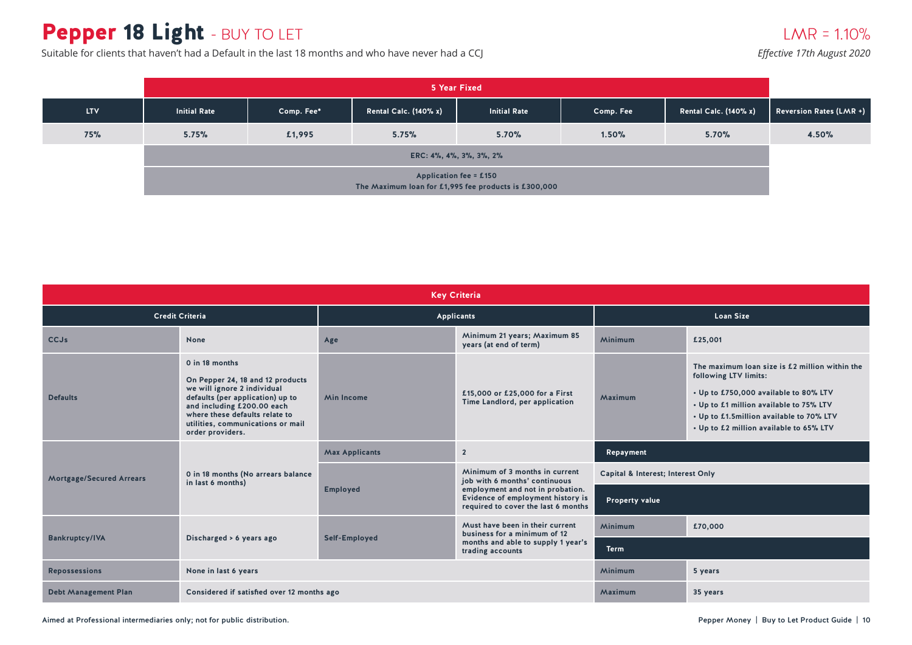# Pepper 18 Light - BUY TO LET

Suitable for clients that haven't had a Default in the last 18 months and who have never had a CCJ

|            | 5 Year Fixed        |            |                                                                                       |                     |           |                              |                                |  |
|------------|---------------------|------------|---------------------------------------------------------------------------------------|---------------------|-----------|------------------------------|--------------------------------|--|
| <b>LTV</b> | <b>Initial Rate</b> | Comp. Fee* | <b>Rental Calc. (140% x)</b>                                                          | <b>Initial Rate</b> | Comp. Fee | <b>Rental Calc. (140% x)</b> | <b>Reversion Rates (LMR +)</b> |  |
| 75%        | 5.75%               | £1,995     | 5.75%                                                                                 | 5.70%               | 1.50%     | 5.70%                        | 4.50%                          |  |
|            |                     |            |                                                                                       |                     |           |                              |                                |  |
|            |                     |            | <b>Application fee = £150</b><br>The Maximum loan for £1,995 fee products is £300,000 |                     |           |                              |                                |  |

| <b>Key Criteria</b>             |                                                                                                                                                                                                                                                |                       |                                                                                                              |                                   |                                                                                                                                                                                                                                                    |  |  |
|---------------------------------|------------------------------------------------------------------------------------------------------------------------------------------------------------------------------------------------------------------------------------------------|-----------------------|--------------------------------------------------------------------------------------------------------------|-----------------------------------|----------------------------------------------------------------------------------------------------------------------------------------------------------------------------------------------------------------------------------------------------|--|--|
| <b>Credit Criteria</b>          |                                                                                                                                                                                                                                                | <b>Applicants</b>     |                                                                                                              | <b>Loan Size</b>                  |                                                                                                                                                                                                                                                    |  |  |
| <b>CCJs</b>                     | None                                                                                                                                                                                                                                           | Age                   | Minimum 21 years; Maximum 85<br>years (at end of term)                                                       | Minimum                           | £25,001                                                                                                                                                                                                                                            |  |  |
| <b>Defaults</b>                 | 0 in 18 months<br>On Pepper 24, 18 and 12 products<br>we will ignore 2 individual<br>defaults (per application) up to<br>and including £200.00 each<br>where these defaults relate to<br>utilities, communications or mail<br>order providers. | <b>Min Income</b>     | £15,000 or £25,000 for a First<br>Time Landlord, per application                                             | Maximum                           | The maximum loan size is £2 million within the<br>following LTV limits:<br>• Up to £750,000 available to 80% LTV<br>• Up to £1 million available to 75% LTV<br>• Up to £1.5million available to 70% LTV<br>• Up to £2 million available to 65% LTV |  |  |
|                                 |                                                                                                                                                                                                                                                | <b>Max Applicants</b> | $\overline{2}$                                                                                               | Repayment                         |                                                                                                                                                                                                                                                    |  |  |
| <b>Mortgage/Secured Arrears</b> | 0 in 18 months (No arrears balance<br>in last 6 months)                                                                                                                                                                                        |                       | Minimum of 3 months in current<br>job with 6 months' continuous                                              | Capital & Interest; Interest Only |                                                                                                                                                                                                                                                    |  |  |
|                                 |                                                                                                                                                                                                                                                | <b>Employed</b>       | employment and not in probation.<br>Evidence of employment history is<br>required to cover the last 6 months | <b>Property value</b>             |                                                                                                                                                                                                                                                    |  |  |
|                                 |                                                                                                                                                                                                                                                |                       | Must have been in their current<br>business for a minimum of 12                                              | Minimum                           | £70,000                                                                                                                                                                                                                                            |  |  |
| <b>Bankruptcy/IVA</b>           | Discharged > 6 years ago                                                                                                                                                                                                                       | Self-Employed         | months and able to supply 1 year's<br>trading accounts                                                       | <b>Term</b>                       |                                                                                                                                                                                                                                                    |  |  |
| <b>Repossessions</b>            | None in last 6 years                                                                                                                                                                                                                           |                       |                                                                                                              | Minimum                           | 5 years                                                                                                                                                                                                                                            |  |  |
| <b>Debt Management Plan</b>     | Considered if satisfied over 12 months ago                                                                                                                                                                                                     |                       |                                                                                                              | Maximum                           | 35 years                                                                                                                                                                                                                                           |  |  |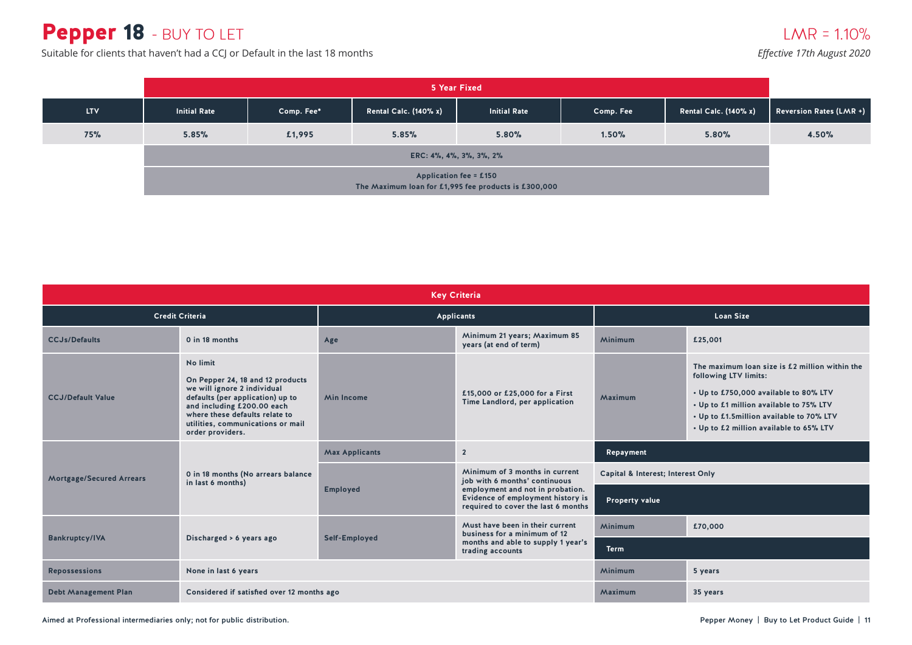# Pepper 18 - BUY TO LET

Suitable for clients that haven't had a CCJ or Default in the last 18 months

|            | 5 Year Fixed                                                                          |            |                              |                     |           |                              |                                |  |
|------------|---------------------------------------------------------------------------------------|------------|------------------------------|---------------------|-----------|------------------------------|--------------------------------|--|
| <b>LTV</b> | <b>Initial Rate</b>                                                                   | Comp. Fee* | <b>Rental Calc. (140% x)</b> | <b>Initial Rate</b> | Comp. Fee | <b>Rental Calc. (140% x)</b> | <b>Reversion Rates (LMR +)</b> |  |
| 75%        | 5.85%                                                                                 | £1,995     | 5.85%                        | 5.80%               | 1.50%     | 5.80%                        | 4.50%                          |  |
|            | ERC: 4%, 4%, 3%, 3%, 2%                                                               |            |                              |                     |           |                              |                                |  |
|            | <b>Application fee = £150</b><br>The Maximum loan for £1,995 fee products is £300,000 |            |                              |                     |           |                              |                                |  |

| <b>Key Criteria</b>             |                                                                                                                                                                                                                                          |                       |                                                                                                              |                                   |                                                                                                                                                                                                                                                    |  |  |
|---------------------------------|------------------------------------------------------------------------------------------------------------------------------------------------------------------------------------------------------------------------------------------|-----------------------|--------------------------------------------------------------------------------------------------------------|-----------------------------------|----------------------------------------------------------------------------------------------------------------------------------------------------------------------------------------------------------------------------------------------------|--|--|
|                                 | <b>Credit Criteria</b>                                                                                                                                                                                                                   |                       | <b>Applicants</b>                                                                                            | <b>Loan Size</b>                  |                                                                                                                                                                                                                                                    |  |  |
| <b>CCJs/Defaults</b>            | 0 in 18 months                                                                                                                                                                                                                           | Age                   | Minimum 21 years; Maximum 85<br>years (at end of term)                                                       | Minimum                           | £25,001                                                                                                                                                                                                                                            |  |  |
| <b>CCJ/Default Value</b>        | No limit<br>On Pepper 24, 18 and 12 products<br>we will ignore 2 individual<br>defaults (per application) up to<br>and including £200.00 each<br>where these defaults relate to<br>utilities, communications or mail<br>order providers. | <b>Min Income</b>     | £15,000 or £25,000 for a First<br>Time Landlord, per application                                             | Maximum                           | The maximum loan size is £2 million within the<br>following LTV limits:<br>• Up to £750,000 available to 80% LTV<br>• Up to £1 million available to 75% LTV<br>• Up to £1.5million available to 70% LTV<br>• Up to £2 million available to 65% LTV |  |  |
|                                 |                                                                                                                                                                                                                                          | <b>Max Applicants</b> | $\overline{2}$                                                                                               | Repayment                         |                                                                                                                                                                                                                                                    |  |  |
| <b>Mortgage/Secured Arrears</b> | 0 in 18 months (No arrears balance<br>in last 6 months)                                                                                                                                                                                  | <b>Employed</b>       | Minimum of 3 months in current<br>job with 6 months' continuous                                              | Capital & Interest; Interest Only |                                                                                                                                                                                                                                                    |  |  |
|                                 |                                                                                                                                                                                                                                          |                       | employment and not in probation.<br>Evidence of employment history is<br>required to cover the last 6 months | <b>Property value</b>             |                                                                                                                                                                                                                                                    |  |  |
|                                 |                                                                                                                                                                                                                                          |                       | Must have been in their current<br>business for a minimum of 12                                              | <b>Minimum</b>                    | £70,000                                                                                                                                                                                                                                            |  |  |
| <b>Bankruptcy/IVA</b>           | Discharged > 6 years ago                                                                                                                                                                                                                 | Self-Employed         | months and able to supply 1 year's<br>trading accounts                                                       | <b>Term</b>                       |                                                                                                                                                                                                                                                    |  |  |
| <b>Repossessions</b>            | None in last 6 years                                                                                                                                                                                                                     |                       |                                                                                                              | <b>Minimum</b>                    | 5 years                                                                                                                                                                                                                                            |  |  |
| <b>Debt Management Plan</b>     | Considered if satisfied over 12 months ago                                                                                                                                                                                               |                       | Maximum                                                                                                      | 35 years                          |                                                                                                                                                                                                                                                    |  |  |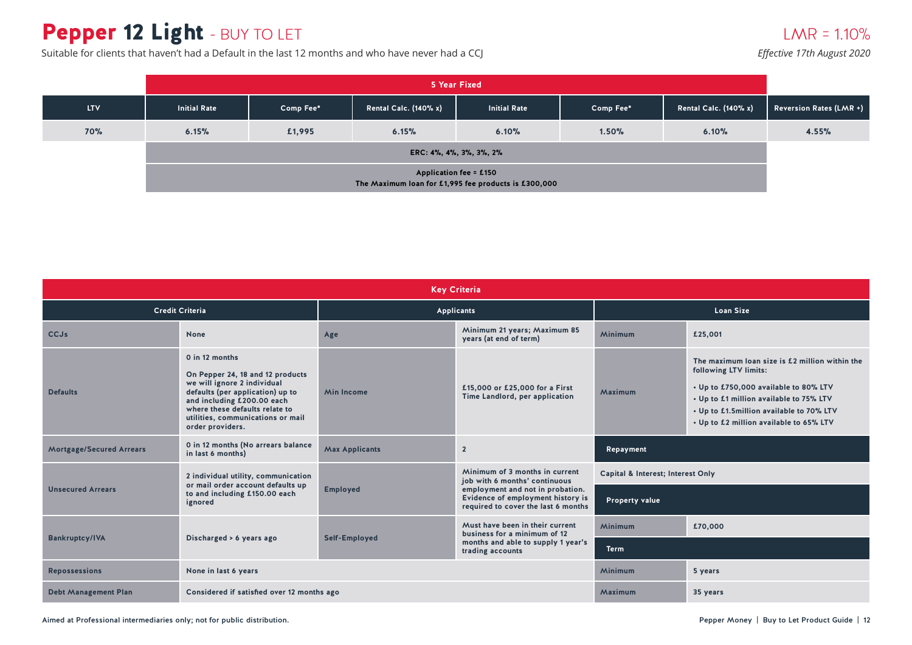# Pepper 12 Light - BUY TO LET

Suitable for clients that haven't had a Default in the last 12 months and who have never had a CCJ

|            | 5 Year Fixed                                                                          |           |                              |                     |           |                              |                                |  |  |
|------------|---------------------------------------------------------------------------------------|-----------|------------------------------|---------------------|-----------|------------------------------|--------------------------------|--|--|
| <b>LTV</b> | <b>Initial Rate</b>                                                                   | Comp Fee* | <b>Rental Calc. (140% x)</b> | <b>Initial Rate</b> | Comp Fee* | <b>Rental Calc. (140% x)</b> | <b>Reversion Rates (LMR +)</b> |  |  |
| 70%        | 6.15%                                                                                 | £1,995    | 6.15%                        | 6.10%               | 1.50%     | 6.10%                        | 4.55%                          |  |  |
|            | ERC: 4%, 4%, 3%, 3%, 2%                                                               |           |                              |                     |           |                              |                                |  |  |
|            | <b>Application fee = £150</b><br>The Maximum loan for £1,995 fee products is £300,000 |           |                              |                     |           |                              |                                |  |  |

| <b>Key Criteria</b>             |                                                                                                                                                                                                                                                |                       |                                                                                                              |                                                                                                                                                                                                                                                               |         |  |  |
|---------------------------------|------------------------------------------------------------------------------------------------------------------------------------------------------------------------------------------------------------------------------------------------|-----------------------|--------------------------------------------------------------------------------------------------------------|---------------------------------------------------------------------------------------------------------------------------------------------------------------------------------------------------------------------------------------------------------------|---------|--|--|
| <b>Credit Criteria</b>          |                                                                                                                                                                                                                                                |                       | Applicants                                                                                                   | <b>Loan Size</b>                                                                                                                                                                                                                                              |         |  |  |
| <b>CCJs</b>                     | None                                                                                                                                                                                                                                           | Age                   | Minimum 21 years; Maximum 85<br>years (at end of term)                                                       | Minimum                                                                                                                                                                                                                                                       | £25,001 |  |  |
| <b>Defaults</b>                 | 0 in 12 months<br>On Pepper 24, 18 and 12 products<br>we will ignore 2 individual<br>defaults (per application) up to<br>and including £200.00 each<br>where these defaults relate to<br>utilities, communications or mail<br>order providers. | <b>Min Income</b>     | £15,000 or £25,000 for a First<br>Time Landlord, per application                                             | The maximum loan size is £2 million within the<br>following LTV limits:<br>• Up to £750,000 available to 80% LTV<br>Maximum<br>• Up to £1 million available to 75% LTV<br>• Up to £1.5million available to 70% LTV<br>• Up to £2 million available to 65% LTV |         |  |  |
| <b>Mortgage/Secured Arrears</b> | 0 in 12 months (No arrears balance<br>in last 6 months)                                                                                                                                                                                        | <b>Max Applicants</b> | $\overline{2}$                                                                                               | Repayment                                                                                                                                                                                                                                                     |         |  |  |
|                                 | 2 individual utility, communication                                                                                                                                                                                                            |                       | Minimum of 3 months in current<br>job with 6 months' continuous                                              | Capital & Interest; Interest Only                                                                                                                                                                                                                             |         |  |  |
| <b>Unsecured Arrears</b>        | or mail order account defaults up<br>to and including £150.00 each<br>ignored                                                                                                                                                                  | <b>Employed</b>       | employment and not in probation.<br>Evidence of employment history is<br>required to cover the last 6 months | <b>Property value</b>                                                                                                                                                                                                                                         |         |  |  |
|                                 |                                                                                                                                                                                                                                                |                       | Must have been in their current<br>business for a minimum of 12                                              | <b>Minimum</b>                                                                                                                                                                                                                                                | £70,000 |  |  |
| <b>Bankruptcy/IVA</b>           | Discharged > 6 years ago                                                                                                                                                                                                                       | Self-Employed         | months and able to supply 1 year's<br>trading accounts                                                       | <b>Term</b>                                                                                                                                                                                                                                                   |         |  |  |
| <b>Repossessions</b>            | None in last 6 years                                                                                                                                                                                                                           |                       |                                                                                                              | Minimum                                                                                                                                                                                                                                                       | 5 years |  |  |
| <b>Debt Management Plan</b>     | Considered if satisfied over 12 months ago                                                                                                                                                                                                     |                       | Maximum                                                                                                      | 35 years                                                                                                                                                                                                                                                      |         |  |  |